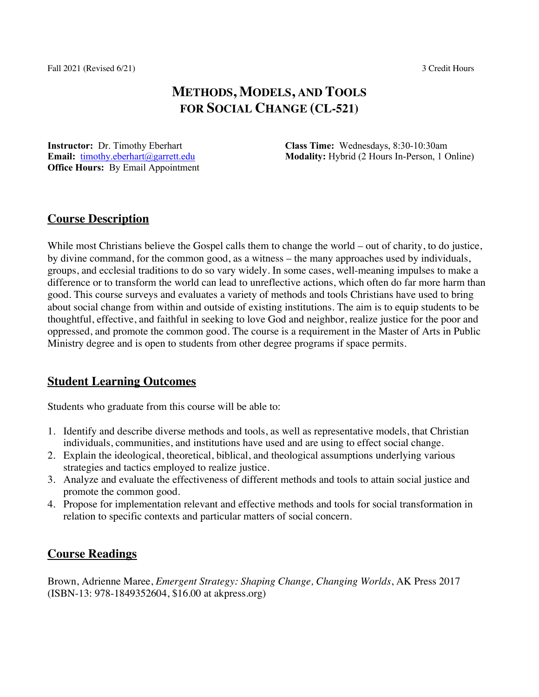Fall 2021 (Revised 6/21) 3 Credit Hours

# **METHODS, MODELS, AND TOOLS FOR SOCIAL CHANGE (CL-521)**

**Instructor:** Dr. Timothy Eberhart **Email:** timothy.eberhart@garrett.edu **Office Hours:** By Email Appointment **Class Time:** Wednesdays, 8:30-10:30am **Modality:** Hybrid (2 Hours In-Person, 1 Online)

# **Course Description**

While most Christians believe the Gospel calls them to change the world – out of charity, to do justice, by divine command, for the common good, as a witness – the many approaches used by individuals, groups, and ecclesial traditions to do so vary widely. In some cases, well-meaning impulses to make a difference or to transform the world can lead to unreflective actions, which often do far more harm than good. This course surveys and evaluates a variety of methods and tools Christians have used to bring about social change from within and outside of existing institutions. The aim is to equip students to be thoughtful, effective, and faithful in seeking to love God and neighbor, realize justice for the poor and oppressed, and promote the common good. The course is a requirement in the Master of Arts in Public Ministry degree and is open to students from other degree programs if space permits.

# **Student Learning Outcomes**

Students who graduate from this course will be able to:

- 1. Identify and describe diverse methods and tools, as well as representative models, that Christian individuals, communities, and institutions have used and are using to effect social change.
- 2. Explain the ideological, theoretical, biblical, and theological assumptions underlying various strategies and tactics employed to realize justice.
- 3. Analyze and evaluate the effectiveness of different methods and tools to attain social justice and promote the common good.
- 4. Propose for implementation relevant and effective methods and tools for social transformation in relation to specific contexts and particular matters of social concern.

# **Course Readings**

Brown, Adrienne Maree, *Emergent Strategy: Shaping Change, Changing Worlds*, AK Press 2017 (ISBN-13: 978-1849352604, \$16.00 at akpress.org)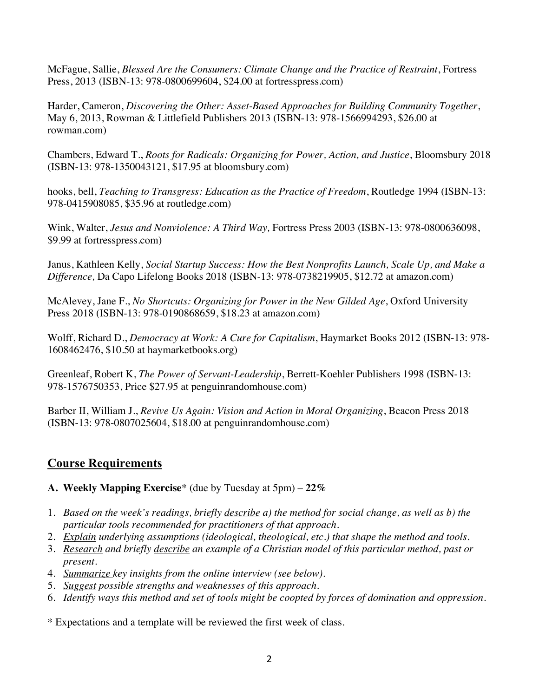McFague, Sallie, *Blessed Are the Consumers: Climate Change and the Practice of Restraint*, Fortress Press, 2013 (ISBN-13: 978-0800699604, \$24.00 at fortresspress.com)

Harder, Cameron, *Discovering the Other: Asset-Based Approaches for Building Community Together*, May 6, 2013, Rowman & Littlefield Publishers 2013 (ISBN-13: 978-1566994293, \$26.00 at rowman.com)

Chambers, Edward T., *Roots for Radicals: Organizing for Power, Action, and Justice*, Bloomsbury 2018 (ISBN-13: 978-1350043121, \$17.95 at bloomsbury.com)

hooks, bell, *Teaching to Transgress: Education as the Practice of Freedom*, Routledge 1994 (ISBN-13: 978-0415908085, \$35.96 at routledge.com)

Wink, Walter, *Jesus and Nonviolence: A Third Way,* Fortress Press 2003 (ISBN-13: 978-0800636098, \$9.99 at fortresspress.com)

Janus, Kathleen Kelly, *Social Startup Success: How the Best Nonprofits Launch, Scale Up, and Make a Difference,* Da Capo Lifelong Books 2018 (ISBN-13: 978-0738219905, \$12.72 at amazon.com)

McAlevey, Jane F., *No Shortcuts: Organizing for Power in the New Gilded Age*, Oxford University Press 2018 (ISBN-13: 978-0190868659, \$18.23 at amazon.com)

Wolff, Richard D., *Democracy at Work: A Cure for Capitalism*, Haymarket Books 2012 (ISBN-13: 978- 1608462476, \$10.50 at haymarketbooks.org)

Greenleaf, Robert K, *The Power of Servant-Leadership*, Berrett-Koehler Publishers 1998 (ISBN-13: 978-1576750353, Price \$27.95 at penguinrandomhouse.com)

Barber II, William J., *Revive Us Again: Vision and Action in Moral Organizing*, Beacon Press 2018 (ISBN-13: 978-0807025604, \$18.00 at penguinrandomhouse.com)

# **Course Requirements**

**A. Weekly Mapping Exercise**\* (due by Tuesday at 5pm) – **22%** 

- 1. *Based on the week's readings, briefly describe a) the method for social change, as well as b) the particular tools recommended for practitioners of that approach.*
- 2. *Explain underlying assumptions (ideological, theological, etc.) that shape the method and tools.*
- 3. *Research and briefly describe an example of a Christian model of this particular method, past or present.*
- 4. *Summarize key insights from the online interview (see below).*
- 5. *Suggest possible strengths and weaknesses of this approach.*
- 6. *Identify ways this method and set of tools might be coopted by forces of domination and oppression.*

\* Expectations and a template will be reviewed the first week of class.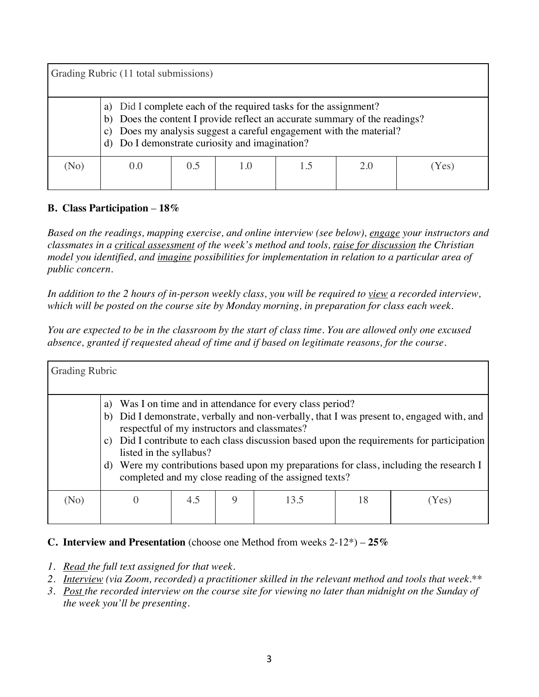| Grading Rubric (11 total submissions) |                                                                                                                                                                                                                                                                            |     |     |  |     |                  |  |
|---------------------------------------|----------------------------------------------------------------------------------------------------------------------------------------------------------------------------------------------------------------------------------------------------------------------------|-----|-----|--|-----|------------------|--|
|                                       | Did I complete each of the required tasks for the assignment?<br>Does the content I provide reflect an accurate summary of the readings?<br>b)<br>Does my analysis suggest a careful engagement with the material?<br>C)<br>d) Do I demonstrate curiosity and imagination? |     |     |  |     |                  |  |
| (No)                                  | (0.0)                                                                                                                                                                                                                                                                      | 0.5 | 1.0 |  | 2.0 | Yes <sup>'</sup> |  |

### **B. Class Participation** – **18%**

*Based on the readings, mapping exercise, and online interview (see below), engage your instructors and classmates in a critical assessment of the week's method and tools, raise for discussion the Christian model you identified, and imagine possibilities for implementation in relation to a particular area of public concern.* 

*In addition to the 2 hours of in-person weekly class, you will be required to view a recorded interview, which will be posted on the course site by Monday morning, in preparation for class each week.* 

*You are expected to be in the classroom by the start of class time. You are allowed only one excused absence, granted if requested ahead of time and if based on legitimate reasons, for the course.* 

| <b>Grading Rubric</b> |                                                 |     |   |                                                                                                                                                                  |    |                                                                                                                                                                                                                                                                           |
|-----------------------|-------------------------------------------------|-----|---|------------------------------------------------------------------------------------------------------------------------------------------------------------------|----|---------------------------------------------------------------------------------------------------------------------------------------------------------------------------------------------------------------------------------------------------------------------------|
|                       | a)<br>b)<br>C)<br>listed in the syllabus?<br>d) |     |   | Was I on time and in attendance for every class period?<br>respectful of my instructors and classmates?<br>completed and my close reading of the assigned texts? |    | Did I demonstrate, verbally and non-verbally, that I was present to, engaged with, and<br>Did I contribute to each class discussion based upon the requirements for participation<br>Were my contributions based upon my preparations for class, including the research I |
| (No)                  |                                                 | 4.5 | 9 | 13.5                                                                                                                                                             | 18 | Yes)                                                                                                                                                                                                                                                                      |

## **C. Interview and Presentation** (choose one Method from weeks 2-12\*) – **25%**

- *1. Read the full text assigned for that week.*
- *2. Interview (via Zoom, recorded) a practitioner skilled in the relevant method and tools that week.\*\**
- *3. Post the recorded interview on the course site for viewing no later than midnight on the Sunday of the week you'll be presenting.*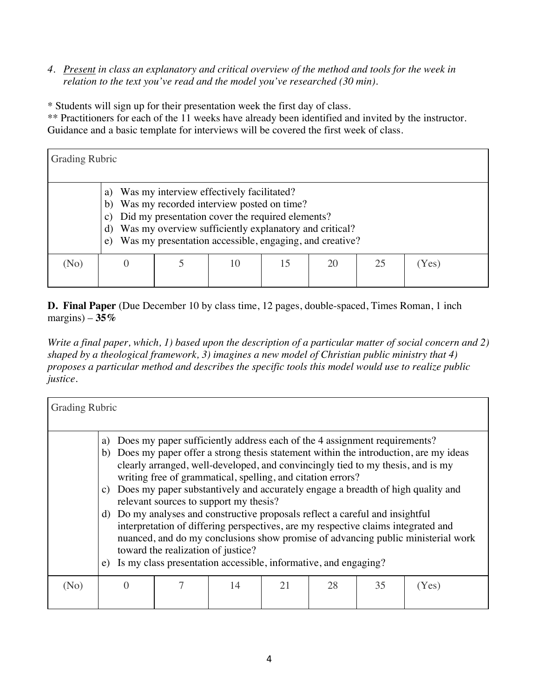*4. Present in class an explanatory and critical overview of the method and tools for the week in relation to the text you've read and the model you've researched (30 min).*

\* Students will sign up for their presentation week the first day of class.

\*\* Practitioners for each of the 11 weeks have already been identified and invited by the instructor. Guidance and a basic template for interviews will be covered the first week of class.

| <b>Grading Rubric</b> |                                                                                                                                                                                                                                                                                                                |  |    |    |    |    |       |  |
|-----------------------|----------------------------------------------------------------------------------------------------------------------------------------------------------------------------------------------------------------------------------------------------------------------------------------------------------------|--|----|----|----|----|-------|--|
|                       | Was my interview effectively facilitated?<br>a)<br>Was my recorded interview posted on time?<br>b)<br>Did my presentation cover the required elements?<br>$\mathbf{c})$<br>Was my overview sufficiently explanatory and critical?<br>$\rm d)$<br>Was my presentation accessible, engaging, and creative?<br>e) |  |    |    |    |    |       |  |
| (No)                  |                                                                                                                                                                                                                                                                                                                |  | 10 | 15 | 20 | 25 | (Yes) |  |

**D. Final Paper** (Due December 10 by class time, 12 pages, double-spaced, Times Roman, 1 inch margins) – **35%**

*Write a final paper, which, 1) based upon the description of a particular matter of social concern and 2) shaped by a theological framework, 3) imagines a new model of Christian public ministry that 4) proposes a particular method and describes the specific tools this model would use to realize public justice.*

| <b>Grading Rubric</b> |                                                                                                                                                                                                                                                                                                                                                                          |  |    |    |    |    |       |  |
|-----------------------|--------------------------------------------------------------------------------------------------------------------------------------------------------------------------------------------------------------------------------------------------------------------------------------------------------------------------------------------------------------------------|--|----|----|----|----|-------|--|
|                       | Does my paper sufficiently address each of the 4 assignment requirements?<br>a)<br>b) Does my paper offer a strong thesis statement within the introduction, are my ideas<br>clearly arranged, well-developed, and convincingly tied to my thesis, and is my<br>writing free of grammatical, spelling, and citation errors?                                              |  |    |    |    |    |       |  |
|                       | Does my paper substantively and accurately engage a breadth of high quality and<br>C)<br>relevant sources to support my thesis?                                                                                                                                                                                                                                          |  |    |    |    |    |       |  |
|                       | Do my analyses and constructive proposals reflect a careful and insightful<br>d)<br>interpretation of differing perspectives, are my respective claims integrated and<br>nuanced, and do my conclusions show promise of advancing public ministerial work<br>toward the realization of justice?<br>Is my class presentation accessible, informative, and engaging?<br>e) |  |    |    |    |    |       |  |
| (No)                  |                                                                                                                                                                                                                                                                                                                                                                          |  | 14 | 21 | 28 | 35 |       |  |
|                       |                                                                                                                                                                                                                                                                                                                                                                          |  |    |    |    |    | (Yes) |  |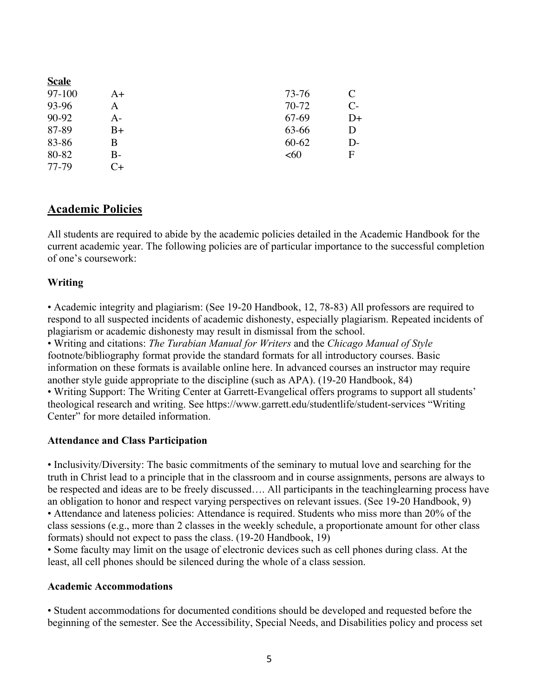| A+       | 73-76     | C            |
|----------|-----------|--------------|
| A        | 70-72     | $C-$         |
| A-       | 67-69     | $D+$         |
| $B+$     | 63-66     | D            |
| B        | $60 - 62$ | $D-$         |
| $B-$     | <60       | $\mathbf{F}$ |
| $\cap_+$ |           |              |
|          |           |              |

# **Academic Policies**

All students are required to abide by the academic policies detailed in the Academic Handbook for the current academic year. The following policies are of particular importance to the successful completion of one's coursework:

## **Writing**

• Academic integrity and plagiarism: (See 19-20 Handbook, 12, 78-83) All professors are required to respond to all suspected incidents of academic dishonesty, especially plagiarism. Repeated incidents of plagiarism or academic dishonesty may result in dismissal from the school.

• Writing and citations: *The Turabian Manual for Writers* and the *Chicago Manual of Style* footnote/bibliography format provide the standard formats for all introductory courses. Basic information on these formats is available online here. In advanced courses an instructor may require another style guide appropriate to the discipline (such as APA). (19-20 Handbook, 84) • Writing Support: The Writing Center at Garrett-Evangelical offers programs to support all students' theological research and writing. See https://www.garrett.edu/studentlife/student-services "Writing Center" for more detailed information.

## **Attendance and Class Participation**

• Inclusivity/Diversity: The basic commitments of the seminary to mutual love and searching for the truth in Christ lead to a principle that in the classroom and in course assignments, persons are always to be respected and ideas are to be freely discussed…. All participants in the teachinglearning process have an obligation to honor and respect varying perspectives on relevant issues. (See 19-20 Handbook, 9) • Attendance and lateness policies: Attendance is required. Students who miss more than 20% of the class sessions (e.g., more than 2 classes in the weekly schedule, a proportionate amount for other class formats) should not expect to pass the class. (19-20 Handbook, 19)

• Some faculty may limit on the usage of electronic devices such as cell phones during class. At the least, all cell phones should be silenced during the whole of a class session.

## **Academic Accommodations**

• Student accommodations for documented conditions should be developed and requested before the beginning of the semester. See the Accessibility, Special Needs, and Disabilities policy and process set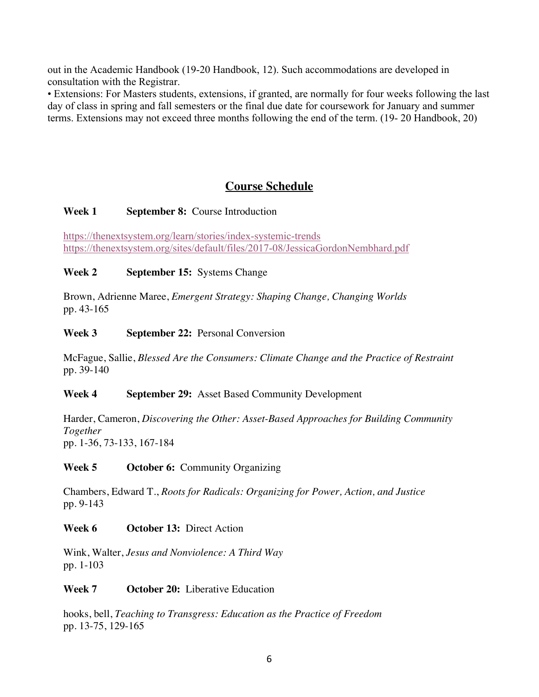out in the Academic Handbook (19-20 Handbook, 12). Such accommodations are developed in consultation with the Registrar.

• Extensions: For Masters students, extensions, if granted, are normally for four weeks following the last day of class in spring and fall semesters or the final due date for coursework for January and summer terms. Extensions may not exceed three months following the end of the term. (19- 20 Handbook, 20)

# **Course Schedule**

### **Week 1 September 8:** Course Introduction

https://thenextsystem.org/learn/stories/index-systemic-trends https://thenextsystem.org/sites/default/files/2017-08/JessicaGordonNembhard.pdf

### **Week 2 September 15:** Systems Change

Brown, Adrienne Maree, *Emergent Strategy: Shaping Change, Changing Worlds* pp. 43-165

### **Week 3 September 22:** Personal Conversion

McFague, Sallie, *Blessed Are the Consumers: Climate Change and the Practice of Restraint* pp. 39-140

#### **Week 4 September 29:** Asset Based Community Development

Harder, Cameron, *Discovering the Other: Asset-Based Approaches for Building Community Together* pp. 1-36, 73-133, 167-184

#### **Week 5 October 6:** Community Organizing

Chambers, Edward T., *Roots for Radicals: Organizing for Power, Action, and Justice* pp. 9-143

#### **Week 6 October 13:** Direct Action

Wink, Walter, *Jesus and Nonviolence: A Third Way* pp. 1-103

#### **Week 7 October 20:** Liberative Education

hooks, bell, *Teaching to Transgress: Education as the Practice of Freedom* pp. 13-75, 129-165